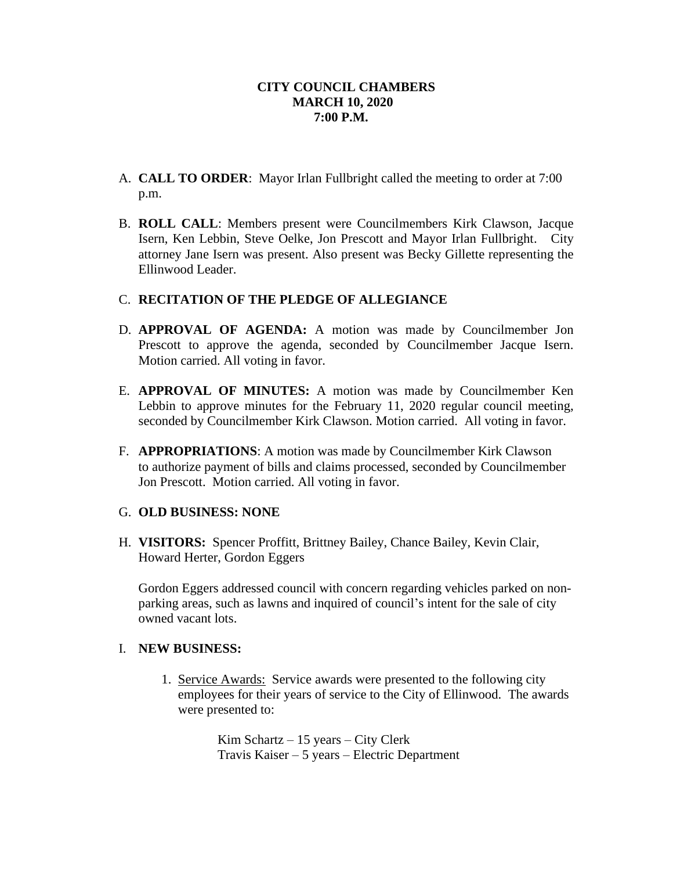- A. **CALL TO ORDER**: Mayor Irlan Fullbright called the meeting to order at 7:00 p.m.
- B. **ROLL CALL**: Members present were Councilmembers Kirk Clawson, Jacque Isern, Ken Lebbin, Steve Oelke, Jon Prescott and Mayor Irlan Fullbright. City attorney Jane Isern was present. Also present was Becky Gillette representing the Ellinwood Leader.

## C. **RECITATION OF THE PLEDGE OF ALLEGIANCE**

- D. **APPROVAL OF AGENDA:** A motion was made by Councilmember Jon Prescott to approve the agenda, seconded by Councilmember Jacque Isern. Motion carried. All voting in favor.
- E. **APPROVAL OF MINUTES:** A motion was made by Councilmember Ken Lebbin to approve minutes for the February 11, 2020 regular council meeting, seconded by Councilmember Kirk Clawson. Motion carried. All voting in favor.
- F. **APPROPRIATIONS**: A motion was made by Councilmember Kirk Clawson to authorize payment of bills and claims processed, seconded by Councilmember Jon Prescott. Motion carried. All voting in favor.

## G. **OLD BUSINESS: NONE**

H. **VISITORS:** Spencer Proffitt, Brittney Bailey, Chance Bailey, Kevin Clair, Howard Herter, Gordon Eggers

Gordon Eggers addressed council with concern regarding vehicles parked on nonparking areas, such as lawns and inquired of council's intent for the sale of city owned vacant lots.

## I. **NEW BUSINESS:**

1. Service Awards: Service awards were presented to the following city employees for their years of service to the City of Ellinwood. The awards were presented to:

> Kim Schartz – 15 years – City Clerk Travis Kaiser – 5 years – Electric Department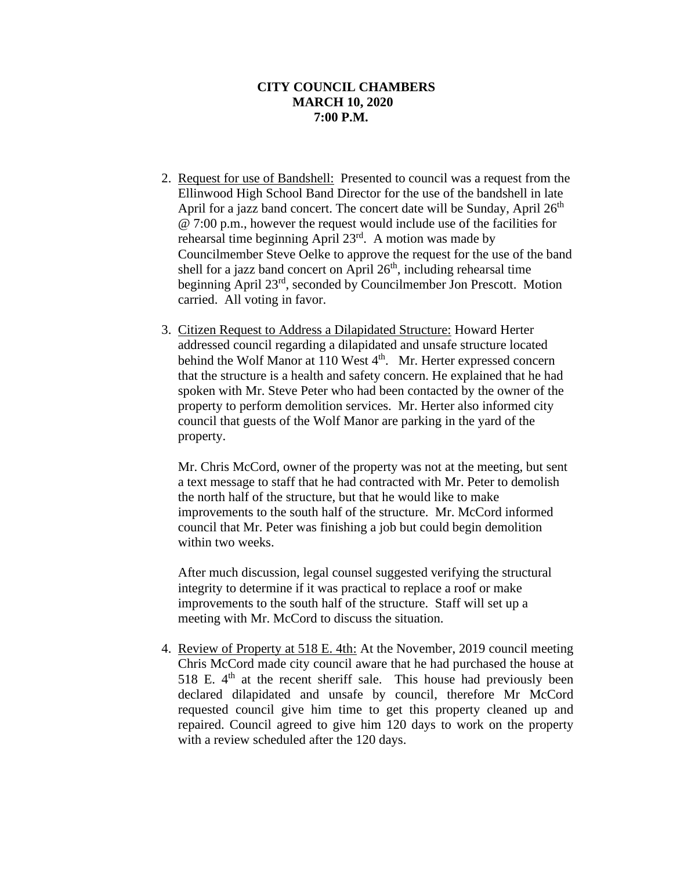- 2. Request for use of Bandshell: Presented to council was a request from the Ellinwood High School Band Director for the use of the bandshell in late April for a jazz band concert. The concert date will be Sunday, April 26<sup>th</sup> @ 7:00 p.m., however the request would include use of the facilities for rehearsal time beginning April 23<sup>rd</sup>. A motion was made by Councilmember Steve Oelke to approve the request for the use of the band shell for a jazz band concert on April  $26<sup>th</sup>$ , including rehearsal time beginning April 23<sup>rd</sup>, seconded by Councilmember Jon Prescott. Motion carried. All voting in favor.
- 3. Citizen Request to Address a Dilapidated Structure: Howard Herter addressed council regarding a dilapidated and unsafe structure located behind the Wolf Manor at 110 West 4<sup>th</sup>. Mr. Herter expressed concern that the structure is a health and safety concern. He explained that he had spoken with Mr. Steve Peter who had been contacted by the owner of the property to perform demolition services. Mr. Herter also informed city council that guests of the Wolf Manor are parking in the yard of the property.

Mr. Chris McCord, owner of the property was not at the meeting, but sent a text message to staff that he had contracted with Mr. Peter to demolish the north half of the structure, but that he would like to make improvements to the south half of the structure. Mr. McCord informed council that Mr. Peter was finishing a job but could begin demolition within two weeks.

After much discussion, legal counsel suggested verifying the structural integrity to determine if it was practical to replace a roof or make improvements to the south half of the structure. Staff will set up a meeting with Mr. McCord to discuss the situation.

4. Review of Property at 518 E. 4th: At the November, 2019 council meeting Chris McCord made city council aware that he had purchased the house at 518 E.  $4<sup>th</sup>$  at the recent sheriff sale. This house had previously been declared dilapidated and unsafe by council, therefore Mr McCord requested council give him time to get this property cleaned up and repaired. Council agreed to give him 120 days to work on the property with a review scheduled after the 120 days.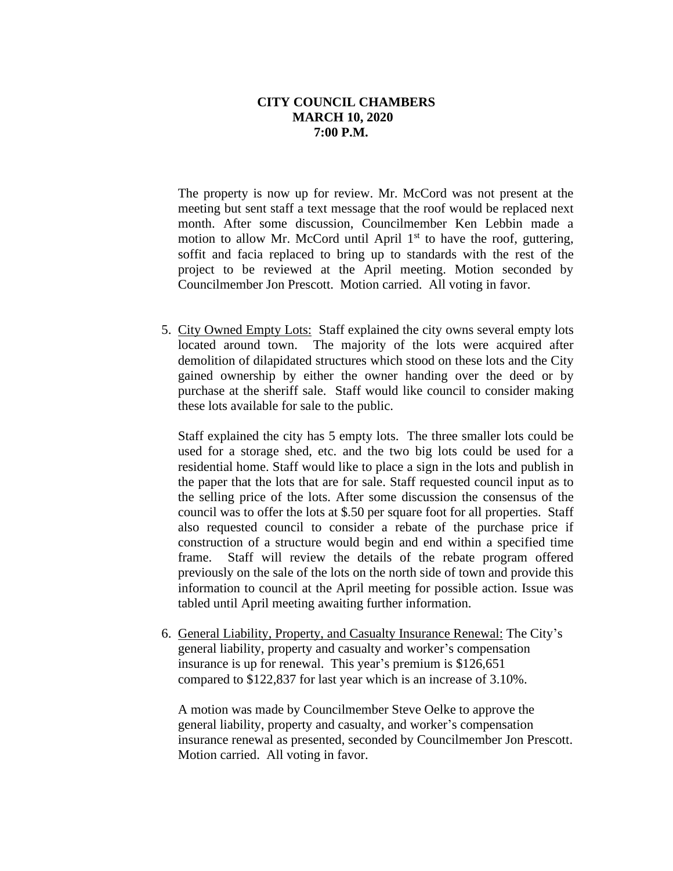The property is now up for review. Mr. McCord was not present at the meeting but sent staff a text message that the roof would be replaced next month. After some discussion, Councilmember Ken Lebbin made a motion to allow Mr. McCord until April  $1<sup>st</sup>$  to have the roof, guttering, soffit and facia replaced to bring up to standards with the rest of the project to be reviewed at the April meeting. Motion seconded by Councilmember Jon Prescott. Motion carried. All voting in favor.

5. City Owned Empty Lots: Staff explained the city owns several empty lots located around town. The majority of the lots were acquired after demolition of dilapidated structures which stood on these lots and the City gained ownership by either the owner handing over the deed or by purchase at the sheriff sale. Staff would like council to consider making these lots available for sale to the public.

Staff explained the city has 5 empty lots. The three smaller lots could be used for a storage shed, etc. and the two big lots could be used for a residential home. Staff would like to place a sign in the lots and publish in the paper that the lots that are for sale. Staff requested council input as to the selling price of the lots. After some discussion the consensus of the council was to offer the lots at \$.50 per square foot for all properties. Staff also requested council to consider a rebate of the purchase price if construction of a structure would begin and end within a specified time frame. Staff will review the details of the rebate program offered previously on the sale of the lots on the north side of town and provide this information to council at the April meeting for possible action. Issue was tabled until April meeting awaiting further information.

6. General Liability, Property, and Casualty Insurance Renewal: The City's general liability, property and casualty and worker's compensation insurance is up for renewal. This year's premium is \$126,651 compared to \$122,837 for last year which is an increase of 3.10%.

A motion was made by Councilmember Steve Oelke to approve the general liability, property and casualty, and worker's compensation insurance renewal as presented, seconded by Councilmember Jon Prescott. Motion carried. All voting in favor.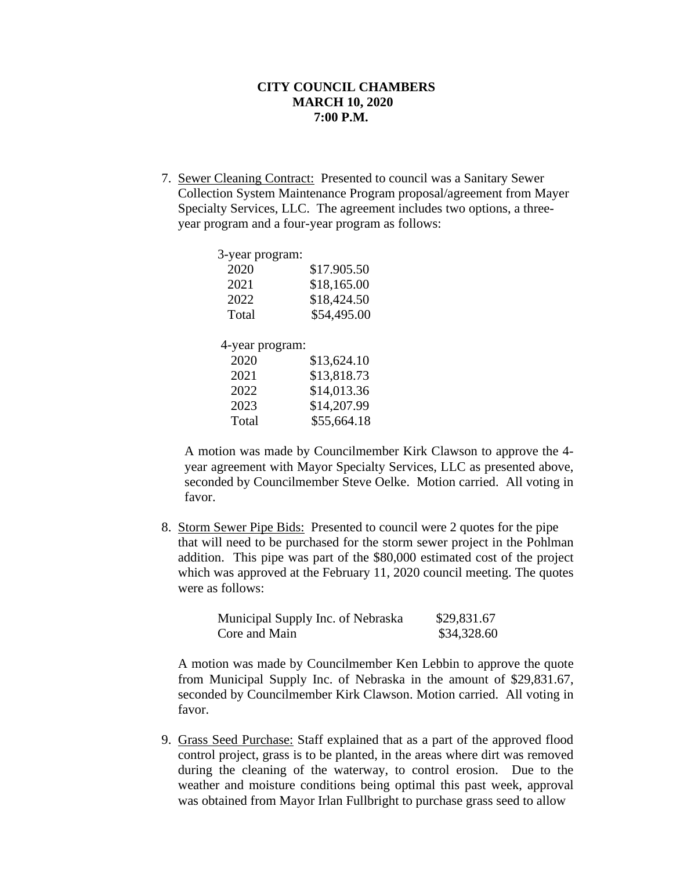7. Sewer Cleaning Contract: Presented to council was a Sanitary Sewer Collection System Maintenance Program proposal/agreement from Mayer Specialty Services, LLC. The agreement includes two options, a threeyear program and a four-year program as follows:

| 3-year program: |             |
|-----------------|-------------|
| 2020            | \$17.905.50 |
| 2021            | \$18,165.00 |
| 2022            | \$18,424.50 |
| Total           | \$54,495.00 |
|                 |             |
| 4-year program: |             |
| 2020            | \$13,624.10 |
| 2021            | \$13,818.73 |
| 2022            | \$14,013.36 |
| 2023            | \$14,207.99 |
| Total           | \$55,664.18 |

A motion was made by Councilmember Kirk Clawson to approve the 4 year agreement with Mayor Specialty Services, LLC as presented above, seconded by Councilmember Steve Oelke. Motion carried. All voting in favor.

 8. Storm Sewer Pipe Bids: Presented to council were 2 quotes for the pipe that will need to be purchased for the storm sewer project in the Pohlman addition. This pipe was part of the \$80,000 estimated cost of the project which was approved at the February 11, 2020 council meeting. The quotes were as follows:

| Municipal Supply Inc. of Nebraska | \$29,831.67 |
|-----------------------------------|-------------|
| Core and Main                     | \$34,328.60 |

A motion was made by Councilmember Ken Lebbin to approve the quote from Municipal Supply Inc. of Nebraska in the amount of \$29,831.67, seconded by Councilmember Kirk Clawson. Motion carried. All voting in favor.

 9. Grass Seed Purchase: Staff explained that as a part of the approved flood control project, grass is to be planted, in the areas where dirt was removed during the cleaning of the waterway, to control erosion. Due to the weather and moisture conditions being optimal this past week, approval was obtained from Mayor Irlan Fullbright to purchase grass seed to allow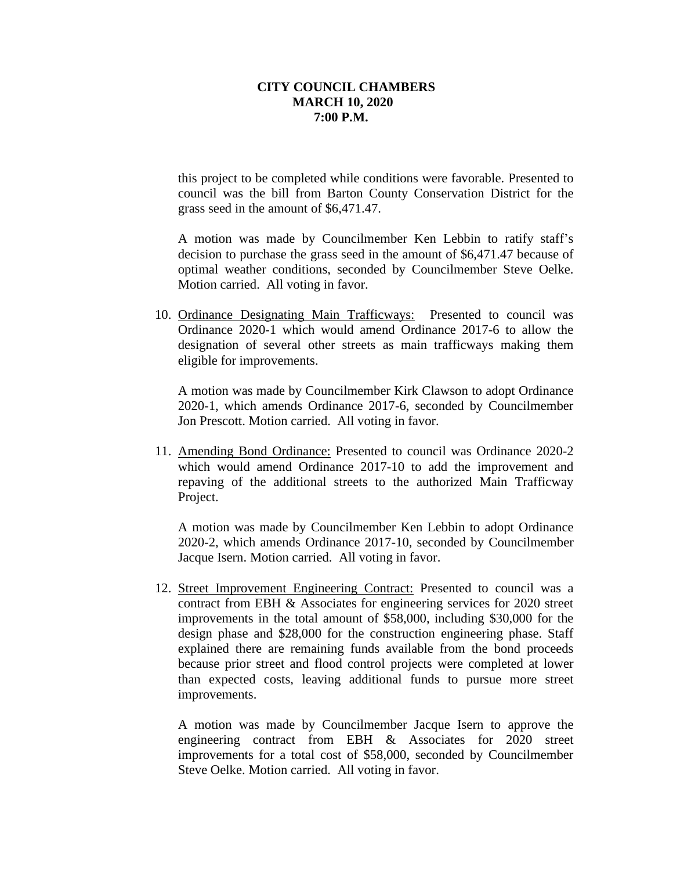this project to be completed while conditions were favorable. Presented to council was the bill from Barton County Conservation District for the grass seed in the amount of \$6,471.47.

A motion was made by Councilmember Ken Lebbin to ratify staff's decision to purchase the grass seed in the amount of \$6,471.47 because of optimal weather conditions, seconded by Councilmember Steve Oelke. Motion carried. All voting in favor.

 10. Ordinance Designating Main Trafficways: Presented to council was Ordinance 2020-1 which would amend Ordinance 2017-6 to allow the designation of several other streets as main trafficways making them eligible for improvements.

A motion was made by Councilmember Kirk Clawson to adopt Ordinance 2020-1, which amends Ordinance 2017-6, seconded by Councilmember Jon Prescott. Motion carried. All voting in favor.

11. Amending Bond Ordinance: Presented to council was Ordinance 2020-2 which would amend Ordinance 2017-10 to add the improvement and repaving of the additional streets to the authorized Main Trafficway Project.

A motion was made by Councilmember Ken Lebbin to adopt Ordinance 2020-2, which amends Ordinance 2017-10, seconded by Councilmember Jacque Isern. Motion carried. All voting in favor.

12. Street Improvement Engineering Contract: Presented to council was a contract from EBH & Associates for engineering services for 2020 street improvements in the total amount of \$58,000, including \$30,000 for the design phase and \$28,000 for the construction engineering phase. Staff explained there are remaining funds available from the bond proceeds because prior street and flood control projects were completed at lower than expected costs, leaving additional funds to pursue more street improvements.

A motion was made by Councilmember Jacque Isern to approve the engineering contract from EBH & Associates for 2020 street improvements for a total cost of \$58,000, seconded by Councilmember Steve Oelke. Motion carried. All voting in favor.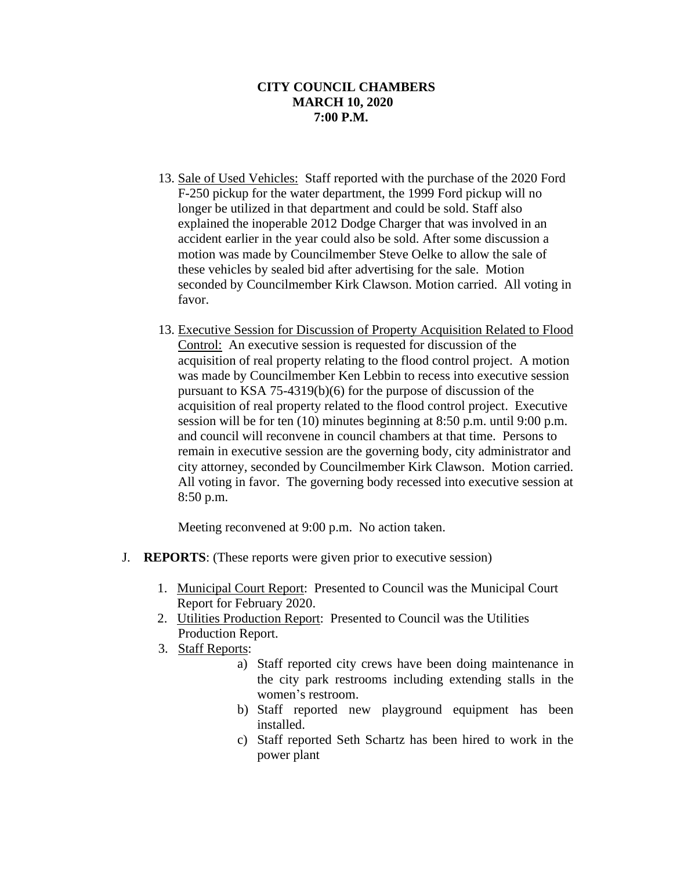- 13. Sale of Used Vehicles: Staff reported with the purchase of the 2020 Ford F-250 pickup for the water department, the 1999 Ford pickup will no longer be utilized in that department and could be sold. Staff also explained the inoperable 2012 Dodge Charger that was involved in an accident earlier in the year could also be sold. After some discussion a motion was made by Councilmember Steve Oelke to allow the sale of these vehicles by sealed bid after advertising for the sale. Motion seconded by Councilmember Kirk Clawson. Motion carried. All voting in favor.
- 13. Executive Session for Discussion of Property Acquisition Related to Flood Control: An executive session is requested for discussion of the acquisition of real property relating to the flood control project. A motion was made by Councilmember Ken Lebbin to recess into executive session pursuant to KSA 75-4319(b)(6) for the purpose of discussion of the acquisition of real property related to the flood control project. Executive session will be for ten (10) minutes beginning at 8:50 p.m. until 9:00 p.m. and council will reconvene in council chambers at that time. Persons to remain in executive session are the governing body, city administrator and city attorney, seconded by Councilmember Kirk Clawson. Motion carried. All voting in favor. The governing body recessed into executive session at 8:50 p.m.

Meeting reconvened at 9:00 p.m. No action taken.

- J. **REPORTS**: (These reports were given prior to executive session)
	- 1. Municipal Court Report: Presented to Council was the Municipal Court Report for February 2020.
	- 2. Utilities Production Report: Presented to Council was the Utilities Production Report.
	- 3. Staff Reports:
		- a) Staff reported city crews have been doing maintenance in the city park restrooms including extending stalls in the women's restroom.
		- b) Staff reported new playground equipment has been installed.
		- c) Staff reported Seth Schartz has been hired to work in the power plant